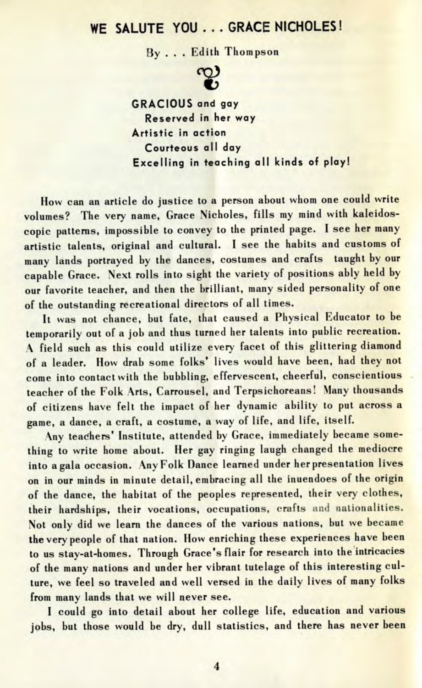## WE SALUTE YOU . . . GRACE NICHOLES!

By ... Edith Thompson



**GRACIOUS and gay Reserved in her way Artistic in action Courteous all day Excelling in teaching all kinds of play!**

How can an article do justice to a person about whom one could write volumes? The very name, Grace Nicholes, fills my mind with kaleidoscopic patterns, impossible to convey to the printed page. I see her many artistic talents, original and cultural. I see the habits and customs of many lands portrayed by the dances, costumes and crafts taught by our capable Grace. Next rolls into sight the variety of positions ably held by our favorite teacher, and then the brilliant, many sided personality of one of the outstanding recreational directors of all times.

It was not chance, but fate, that caused a Physical Educator to be temporarily out of a job and thus turned her talents into public recreation. A field such as this could utilize every facet of this glittering diamond of a leader. How drab some folks' lives would have been, had they not come into contact with the bubbling, effervescent, cheerful, conscientious teacher of the Folk Arts, Carrousel, and Terpsichoreans! Many thousands of citizens have felt the impact of her dynamic ability to put across a game, a dance, a craft, a costume, a way of life, and life, itself.

Any teachers' Institute, attended by Grace, immediately became something to write home about. Her gay ringing laugh changed the mediocre into a gala occasion. Any Folk Dance learned under her presentation lives on in our minds in minute detail, embracing all the inuendoes of the origin of the dance, the habitat of the peoples represented, their very clothes, their hardships, their vocations, occupations, crafts and nationalities. Not only did we learn the dances of the various nations, but we became the very people of that nation. How enriching these experiences have been to us stay-at-homes. Through Grace's flair for research into the intricacies of the many nations and under her vibrant tutelage of this interesting culture, we feel so traveled and well versed in the daily lives of many folks from many lands that we will never see.

I could go into detail about her college life, education and various jobs, but those would be dry, dull statistics, and there has never been